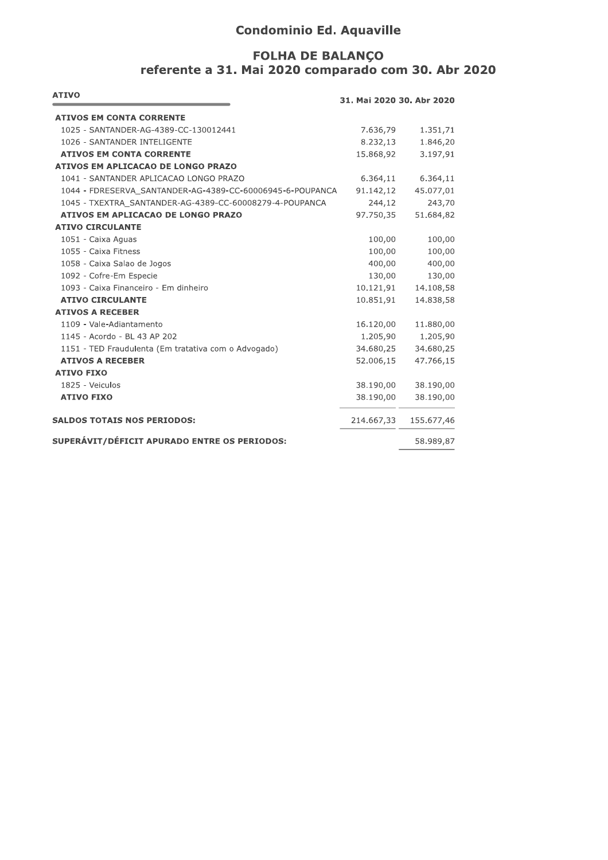# **Condominio Ed. Aquaville**

## **FOLHA DE BALANÇO** referente a 31. Mai 2020 comparado com 30. Abr 2020

| <b>ATIVO</b>                                              | 31. Mai 2020 30. Abr 2020 |            |
|-----------------------------------------------------------|---------------------------|------------|
| <b>ATIVOS EM CONTA CORRENTE</b>                           |                           |            |
| 1025 - SANTANDER-AG-4389-CC-130012441                     | 7.636,79                  | 1.351,71   |
| 1026 - SANTANDER INTELIGENTE                              | 8.232,13                  | 1.846,20   |
| <b>ATIVOS EM CONTA CORRENTE</b>                           | 15.868,92                 | 3.197,91   |
| ATIVOS EM APLICACAO DE LONGO PRAZO                        |                           |            |
| 1041 - SANTANDER APLICACAO LONGO PRAZO                    | 6.364,11                  | 6.364,11   |
| 1044 - FDRESERVA SANTANDER-AG-4389-CC-60006945-6-POUPANCA | 91.142,12                 | 45.077,01  |
| 1045 - TXEXTRA SANTANDER-AG-4389-CC-60008279-4-POUPANCA   | 244,12                    | 243,70     |
| ATIVOS EM APLICACAO DE LONGO PRAZO                        | 97.750,35                 | 51.684,82  |
| <b>ATIVO CIRCULANTE</b>                                   |                           |            |
| 1051 - Caixa Aguas                                        | 100,00                    | 100,00     |
| 1055 - Caixa Fitness                                      | 100,00                    | 100,00     |
| 1058 - Caixa Salao de Jogos                               | 400,00                    | 400,00     |
| 1092 - Cofre-Em Especie                                   | 130,00                    | 130,00     |
| 1093 - Caixa Financeiro - Em dinheiro                     | 10.121,91                 | 14.108,58  |
| <b>ATIVO CIRCULANTE</b>                                   | 10.851,91                 | 14.838,58  |
| <b>ATIVOS A RECEBER</b>                                   |                           |            |
| 1109 - Vale-Adiantamento                                  | 16.120,00                 | 11.880,00  |
| 1145 - Acordo - BL 43 AP 202                              | 1.205,90                  | 1.205,90   |
| 1151 - TED Fraudulenta (Em tratativa com o Advogado)      | 34.680,25                 | 34.680,25  |
| <b>ATIVOS A RECEBER</b>                                   | 52.006,15                 | 47.766,15  |
| <b>ATIVO FIXO</b>                                         |                           |            |
| 1825 - Veiculos                                           | 38.190,00                 | 38.190,00  |
| <b>ATIVO FIXO</b>                                         | 38.190,00                 | 38.190,00  |
| <b>SALDOS TOTAIS NOS PERIODOS:</b>                        | 214.667,33                | 155.677,46 |
| SUPERÁVIT/DÉFICIT APURADO ENTRE OS PERIODOS:              |                           | 58.989,87  |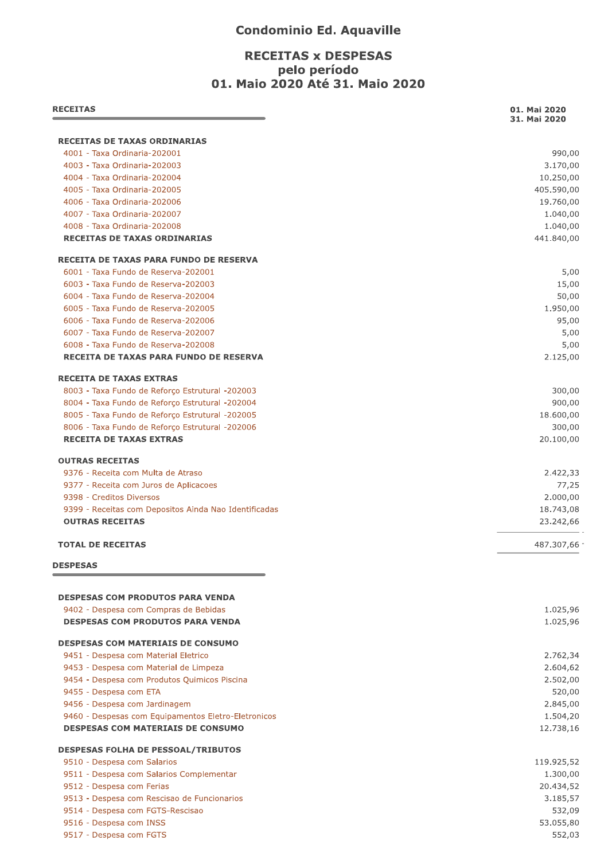#### **Condominio Ed. Aquaville**

### **RECEITAS x DESPESAS** pelo período 01. Maio 2020 Até 31. Maio 2020

| <b>RECEITAS</b>                                                                                    | 01. Mai 2020<br>31. Mai 2020 |
|----------------------------------------------------------------------------------------------------|------------------------------|
| RECEITAS DE TAXAS ORDINARIAS                                                                       |                              |
| 4001 - Taxa Ordinaria-202001                                                                       | 990,00                       |
| 4003 - Taxa Ordinaria-202003                                                                       | 3.170,00                     |
| 4004 - Taxa Ordinaria-202004                                                                       | 10.250,00                    |
| 4005 - Taxa Ordinaria-202005                                                                       | 405.590,00                   |
| 4006 - Taxa Ordinaria-202006                                                                       | 19.760,00                    |
| 4007 - Taxa Ordinaria-202007                                                                       | 1.040,00                     |
| 4008 - Taxa Ordinaria-202008<br><b>RECEITAS DE TAXAS ORDINARIAS</b>                                | 1.040,00<br>441.840,00       |
| RECEITA DE TAXAS PARA FUNDO DE RESERVA                                                             |                              |
| 6001 - Taxa Fundo de Reserva-202001                                                                |                              |
| 6003 - Taxa Fundo de Reserva-202003                                                                | 15,00                        |
| 6004 - Taxa Fundo de Reserva-202004                                                                | 50,00                        |
| 6005 - Taxa Fundo de Reserva-202005                                                                | 1.950,00                     |
| 6006 - Taxa Fundo de Reserva-202006                                                                | 95,00                        |
| 6007 - Taxa Fundo de Reserva-202007                                                                |                              |
| 6008 - Taxa Fundo de Reserva-202008                                                                |                              |
| RECEITA DE TAXAS PARA FUNDO DE RESERVA                                                             | 2.125,00                     |
| <b>RECEITA DE TAXAS EXTRAS</b>                                                                     |                              |
| 8003 - Taxa Fundo de Reforço Estrutural -202003                                                    | 300,00                       |
| 8004 - Taxa Fundo de Reforço Estrutural -202004                                                    | 900,00<br>18.600,00          |
| 8005 - Taxa Fundo de Reforço Estrutural -202005<br>8006 - Taxa Fundo de Reforço Estrutural -202006 | 300,00                       |
| <b>RECEITA DE TAXAS EXTRAS</b>                                                                     | 20.100,00                    |
| <b>OUTRAS RECEITAS</b>                                                                             |                              |
| 9376 - Receita com Multa de Atraso                                                                 | 2.422,33                     |
| 9377 - Receita com Juros de Aplicacoes                                                             | 77,25                        |
| 9398 - Creditos Diversos                                                                           | 2.000,00                     |
| 9399 - Receitas com Depositos Ainda Nao Identificadas                                              | 18.743,08                    |
| <b>OUTRAS RECEITAS</b>                                                                             | 23.242,66                    |
| <b>TOTAL DE RECEITAS</b>                                                                           | 487.307,66 -                 |
| <b>DESPESAS</b>                                                                                    |                              |
| <b>DESPESAS COM PRODUTOS PARA VENDA</b>                                                            |                              |
| 9402 - Despesa com Compras de Bebidas                                                              | 1.025,96                     |
| <b>DESPESAS COM PRODUTOS PARA VENDA</b>                                                            | 1.025,96                     |
| <b>DESPESAS COM MATERIAIS DE CONSUMO</b>                                                           |                              |
| 9451 - Despesa com Material Eletrico                                                               | 2.762,34                     |
| 9453 - Despesa com Material de Limpeza                                                             | 2.604,62                     |
| 9454 - Despesa com Produtos Quimicos Piscina                                                       | 2.502,00                     |
| 9455 - Despesa com ETA                                                                             | 520,00                       |
| 9456 - Despesa com Jardinagem                                                                      | 2.845,00                     |
| 9460 - Despesas com Equipamentos Eletro-Eletronicos<br><b>DESPESAS COM MATERIAIS DE CONSUMO</b>    | 1.504,20<br>12.738,16        |
|                                                                                                    |                              |
| <b>DESPESAS FOLHA DE PESSOAL/TRIBUTOS</b><br>9510 - Despesa com Salarios                           | 119.925,52                   |
| 9511 - Despesa com Salarios Complementar                                                           | 1.300,00                     |
| 9512 - Despesa com Ferias                                                                          | 20.434,52                    |
| 9513 - Despesa com Rescisao de Funcionarios                                                        | 3.185,57                     |
| 9514 - Despesa com FGTS-Rescisao                                                                   | 532,09                       |
| 9516 - Despesa com INSS                                                                            | 53.055,80                    |
| 9517 - Despesa com FGTS                                                                            | 552,03                       |
|                                                                                                    |                              |
|                                                                                                    |                              |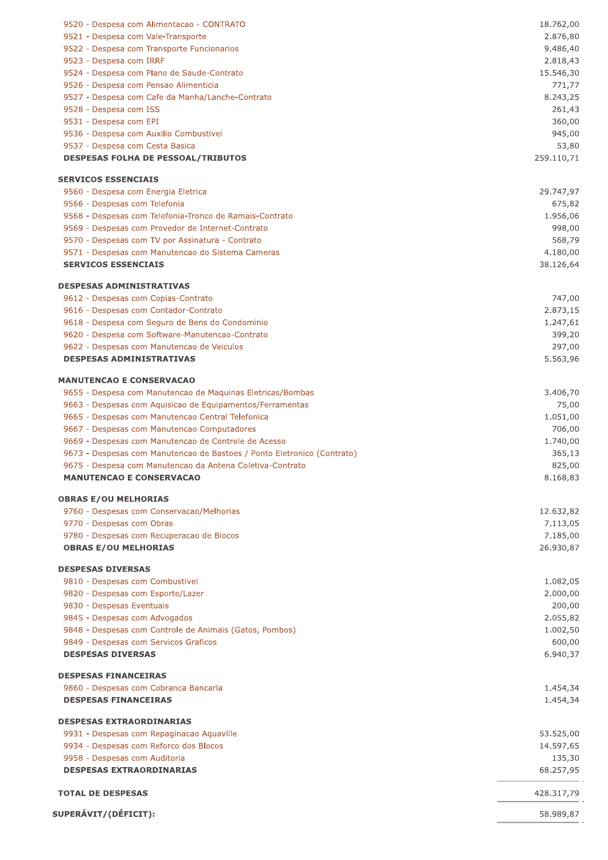| 9520 - Despesa com Alimentacao - CONTRATO                                                    | 18.762,00          |
|----------------------------------------------------------------------------------------------|--------------------|
| 9521 - Despesa com Vale-Transporte                                                           | 2.876,80           |
| 9522 - Despesa com Transporte Funcionarios                                                   | 9.486,40           |
| 9523 - Despesa com IRRF                                                                      | 2.818,43           |
| 9524 - Despesa com Plano de Saude-Contrato                                                   | 15.546,30          |
| 9526 - Despesa com Pensao Alimenticia                                                        | 771,77             |
| 9527 - Despesa com Cafe da Manha/Lanche-Contrato<br>9528 - Despesa com ISS                   | 8.243,25<br>261,43 |
| 9531 - Despesa com EPI                                                                       | 360,00             |
| 9536 - Despesa com Auxilio Combustivel                                                       | 945,00             |
| 9537 - Despesa com Cesta Basica                                                              | 53,80              |
| <b>DESPESAS FOLHA DE PESSOAL/TRIBUTOS</b>                                                    | 259.110,71         |
| <b>SERVICOS ESSENCIAIS</b>                                                                   |                    |
| 9560 - Despesa com Energia Eletrica                                                          | 29.747,97          |
| 9566 - Despesas com Telefonia                                                                | 675,82             |
| 9568 - Despesas com Telefonia-Tronco de Ramais-Contrato                                      | 1.956,06           |
| 9569 - Despesas com Provedor de Internet-Contrato                                            | 998,00             |
| 9570 - Despesas com TV por Assinatura - Contrato                                             | 568,79             |
| 9571 - Despesas com Manutencao do Sistema Cameras                                            | 4.180,00           |
| <b>SERVICOS ESSENCIAIS</b>                                                                   | 38.126,64          |
| <b>DESPESAS ADMINISTRATIVAS</b>                                                              |                    |
| 9612 - Despesas com Copias-Contrato                                                          | 747,00             |
| 9616 - Despesas com Contador-Contrato                                                        | 2.873,15           |
| 9618 - Despesa com Seguro de Bens do Condominio                                              | 1.247,61           |
| 9620 - Despesa com Software-Manutencao-Contrato                                              | 399,20             |
| 9622 - Despesas com Manutencao de Veiculos                                                   | 297,00             |
| <b>DESPESAS ADMINISTRATIVAS</b>                                                              | 5.563,96           |
| <b>MANUTENCAO E CONSERVACAO</b>                                                              |                    |
| 9655 - Despesa com Manutencao de Maquinas Eletricas/Bombas                                   | 3.406,70           |
| 9663 - Despesas com Aquisicao de Equipamentos/Ferramentas                                    | 75,00              |
| 9665 - Despesas com Manutencao Central Telefonica                                            | 1.051,00           |
| 9667 - Despesas com Manutencao Computadores                                                  | 706,00             |
| 9669 - Despesas com Manutencao de Controle de Acesso                                         | 1.740,00           |
| 9673 - Despesas com Manutencao de Bastoes / Ponto Eletronico (Contrato)                      | 365,13             |
| 9675 - Despesa com Manutencao da Antena Coletiva-Contrato<br><b>MANUTENCAO E CONSERVACAO</b> | 825,00<br>8.168,83 |
|                                                                                              |                    |
| <b>OBRAS E/OU MELHORIAS</b>                                                                  |                    |
| 9760 - Despesas com Conservacao/Melhorias                                                    | 12.632,82          |
| 9770 - Despesas com Obras                                                                    | 7.113,05           |
| 9780 - Despesas com Recuperacao de Blocos                                                    | 7.185,00           |
| <b>OBRAS E/OU MELHORIAS</b>                                                                  | 26.930,87          |
| <b>DESPESAS DIVERSAS</b>                                                                     |                    |
| 9810 - Despesas com Combustivel                                                              | 1.082,05           |
| 9820 - Despesas com Esporte/Lazer                                                            | 2.000,00           |
| 9830 - Despesas Eventuais                                                                    | 200,00             |
| 9845 - Despesas com Advogados                                                                | 2.055,82           |
| 9848 - Despesas com Controle de Animais (Gatos, Pombos)                                      | 1.002,50           |
| 9849 - Despesas com Servicos Graficos                                                        | 600,00             |
| <b>DESPESAS DIVERSAS</b>                                                                     | 6.940,37           |
| <b>DESPESAS FINANCEIRAS</b>                                                                  |                    |
| 9860 - Despesas com Cobranca Bancaria                                                        | 1.454,34           |
| <b>DESPESAS FINANCEIRAS</b>                                                                  | 1.454,34           |
| <b>DESPESAS EXTRAORDINARIAS</b>                                                              |                    |
| 9931 - Despesas com Repaginacao Aquaville                                                    | 53.525,00          |
| 9934 - Despesas com Reforco dos Blocos                                                       | 14.597,65          |
| 9958 - Despesas com Auditoria                                                                | 135,30             |
| <b>DESPESAS EXTRAORDINARIAS</b>                                                              | 68.257,95          |
| <b>TOTAL DE DESPESAS</b>                                                                     | 428.317,79         |
|                                                                                              |                    |
| SUPERÁVIT/(DÉFICIT):                                                                         | 58.989,87          |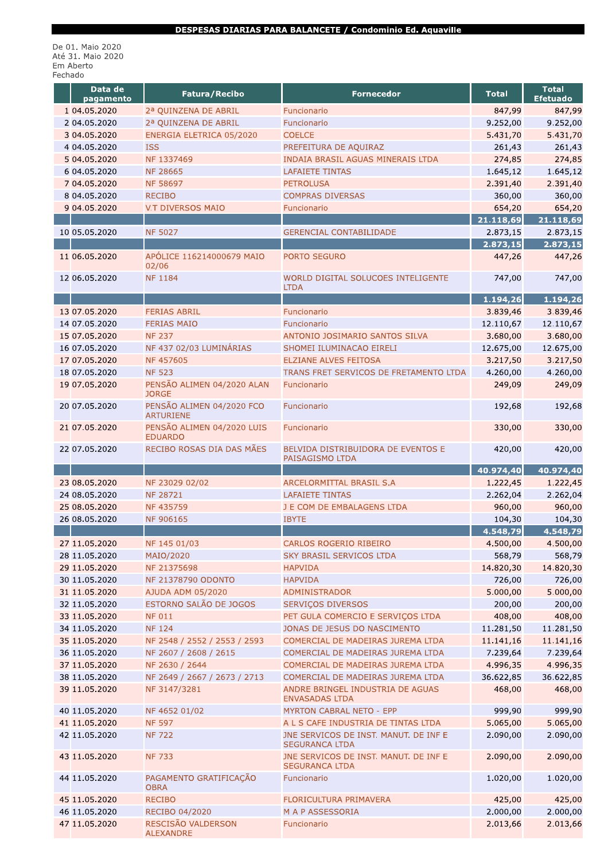#### DESPESAS DIARIAS PARA BALANCETE / Condominio Ed. Aquaville

De 01. Maio 2020<br>Até 31. Maio 2020<br>Em Aberto<br>Fechado

| Data de                   | <b>Fatura/Recibo</b>                         | <b>Fornecedor</b>                                              | <b>Total</b>        | <b>Total</b>        |
|---------------------------|----------------------------------------------|----------------------------------------------------------------|---------------------|---------------------|
| pagamento<br>1 04.05.2020 |                                              |                                                                |                     | <b>Efetuado</b>     |
|                           | 2ª QUINZENA DE ABRIL                         | Funcionario                                                    | 847,99              | 847,99              |
| 2 04.05.2020              | 2ª QUINZENA DE ABRIL                         | Funcionario                                                    | 9.252,00            | 9.252,00            |
| 3 04.05.2020              | ENERGIA ELETRICA 05/2020                     | <b>COELCE</b>                                                  | 5.431,70            | 5.431,70            |
| 4 04.05.2020              | <b>ISS</b>                                   | PREFEITURA DE AQUIRAZ                                          | 261,43              | 261,43              |
| 5 04.05.2020              | NF 1337469                                   | INDAIA BRASIL AGUAS MINERAIS LTDA                              | 274,85              | 274,85              |
| 6 04.05.2020              | <b>NF 28665</b>                              | <b>LAFAIETE TINTAS</b>                                         | 1.645,12            | 1.645,12            |
| 7 04.05.2020              | <b>NF 58697</b><br><b>RECIBO</b>             | <b>PETROLUSA</b>                                               | 2.391,40            | 2.391,40            |
| 8 04.05.2020              | <b>V.T DIVERSOS MAIO</b>                     | <b>COMPRAS DIVERSAS</b>                                        | 360,00              | 360,00              |
| 9 04.05.2020              |                                              | Funcionario                                                    | 654,20<br>21.118,69 | 654,20<br>21.118,69 |
| 10 05.05.2020             | <b>NF 5027</b>                               | <b>GERENCIAL CONTABILIDADE</b>                                 | 2.873,15            | 2.873,15            |
|                           |                                              |                                                                | 2.873,15            | 2.873,15            |
| 11 06.05.2020             | APÓLICE 116214000679 MAIO                    | PORTO SEGURO                                                   | 447,26              | 447,26              |
|                           | 02/06                                        |                                                                |                     |                     |
| 12 06.05.2020             | <b>NF1184</b>                                | WORLD DIGITAL SOLUCOES INTELIGENTE                             | 747,00              | 747,00              |
|                           |                                              | <b>LTDA</b>                                                    |                     |                     |
|                           |                                              |                                                                | 1.194,26            | 1.194,26            |
| 13 07.05.2020             | <b>FERIAS ABRIL</b>                          | Funcionario                                                    | 3.839,46            | 3.839,46            |
| 14 07.05.2020             | <b>FERIAS MAIO</b>                           | Funcionario                                                    | 12.110,67           | 12.110,67           |
| 15 07.05.2020             | <b>NF 237</b>                                | ANTONIO JOSIMARIO SANTOS SILVA                                 | 3.680,00            | 3.680,00            |
| 16 07.05.2020             | NF 437 02/03 LUMINÁRIAS                      | SHOMEI ILUMINACAO EIRELI                                       | 12.675,00           | 12.675,00           |
| 17 07.05.2020             | <b>NF457605</b>                              | <b>ELZIANE ALVES FEITOSA</b>                                   | 3.217,50            | 3.217,50            |
| 18 07.05.2020             | <b>NF 523</b>                                | TRANS FRET SERVICOS DE FRETAMENTO LTDA                         | 4.260,00            | 4.260,00            |
| 19 07.05.2020             | PENSÃO ALIMEN 04/2020 ALAN                   | Funcionario                                                    | 249,09              | 249,09              |
|                           | <b>JORGE</b>                                 |                                                                |                     |                     |
| 20 07.05.2020             | PENSÃO ALIMEN 04/2020 FCO                    | Funcionario                                                    | 192,68              | 192,68              |
|                           | <b>ARTURIENE</b>                             |                                                                |                     |                     |
| 21 07.05.2020             | PENSÃO ALIMEN 04/2020 LUIS<br><b>EDUARDO</b> | Funcionario                                                    | 330,00              | 330,00              |
| 22 07.05.2020             | RECIBO ROSAS DIA DAS MÃES                    | BELVIDA DISTRIBUIDORA DE EVENTOS E                             | 420,00              | 420,00              |
|                           |                                              | PAISAGISMO LTDA                                                |                     |                     |
|                           |                                              |                                                                | 40.974,40           | 40.974,40           |
| 23 08.05.2020             | NF 23029 02/02                               | ARCELORMITTAL BRASIL S.A                                       | 1.222,45            | 1.222,45            |
| 24 08.05.2020             | <b>NF 28721</b>                              | <b>LAFAIETE TINTAS</b>                                         | 2.262,04            | 2.262,04            |
| 25 08.05.2020             | <b>NF435759</b>                              | J E COM DE EMBALAGENS LTDA                                     | 960,00              | 960,00              |
| 26 08.05.2020             | <b>NF 906165</b>                             | <b>IBYTE</b>                                                   | 104,30              | 104,30              |
|                           |                                              |                                                                | 4.548,79            | 4.548,79            |
| 27 11.05.2020             | NF 145 01/03                                 | CARLOS ROGERIO RIBEIRO                                         | 4.500,00            | 4.500,00            |
| 28 11.05.2020             | MAIO/2020                                    | <b>SKY BRASIL SERVICOS LTDA</b>                                | 568,79              | 568,79              |
| 29 11.05.2020             | NF 21375698                                  | <b>HAPVIDA</b>                                                 | 14.820,30           | 14.820,30           |
| 30 11.05.2020             | NF 21378790 ODONTO                           | <b>HAPVIDA</b>                                                 | 726,00              | 726,00              |
| 31 11.05.2020             | AJUDA ADM 05/2020                            | ADMINISTRADOR                                                  | 5.000,00            | 5.000,00            |
| 32 11.05.2020             | ESTORNO SALÃO DE JOGOS                       | SERVIÇOS DIVERSOS                                              | 200,00              | 200,00              |
| 33 11.05.2020             | <b>NF 011</b>                                | PET GULA COMERCIO E SERVIÇOS LTDA                              | 408,00              | 408,00              |
| 34 11.05.2020             | <b>NF 124</b>                                | JONAS DE JESUS DO NASCIMENTO                                   | 11.281,50           | 11.281,50           |
| 35 11.05.2020             | NF 2548 / 2552 / 2553 / 2593                 | COMERCIAL DE MADEIRAS JUREMA LTDA                              | 11.141,16           | 11.141,16           |
| 36 11.05.2020             | NF 2607 / 2608 / 2615                        | COMERCIAL DE MADEIRAS JUREMA LTDA                              | 7.239,64            | 7.239,64            |
| 37 11.05.2020             | NF 2630 / 2644                               | COMERCIAL DE MADEIRAS JUREMA LTDA                              | 4.996,35            | 4.996,35            |
| 38 11.05.2020             | NF 2649 / 2667 / 2673 / 2713                 | COMERCIAL DE MADEIRAS JUREMA LTDA                              | 36.622,85           | 36.622,85           |
| 39 11.05.2020             | NF 3147/3281                                 | ANDRE BRINGEL INDUSTRIA DE AGUAS                               | 468,00              | 468,00              |
|                           |                                              | <b>ENVASADAS LTDA</b>                                          |                     |                     |
| 40 11.05.2020             | NF 4652 01/02                                | <b>MYRTON CABRAL NETO - EPP</b>                                | 999,90              | 999,90              |
| 41 11.05.2020             | <b>NF 597</b>                                | A L S CAFE INDUSTRIA DE TINTAS LTDA                            | 5.065,00            | 5.065,00            |
| 42 11.05.2020             | <b>NF 722</b>                                | JNE SERVICOS DE INST. MANUT. DE INF E<br><b>SEGURANCA LTDA</b> | 2.090,00            | 2.090,00            |
| 43 11.05.2020             | <b>NF 733</b>                                | JNE SERVICOS DE INST. MANUT. DE INF E<br><b>SEGURANCA LTDA</b> | 2.090,00            | 2.090,00            |
| 44 11.05.2020             | PAGAMENTO GRATIFICAÇÃO<br><b>OBRA</b>        | Funcionario                                                    | 1.020,00            | 1.020,00            |
| 45 11.05.2020             | <b>RECIBO</b>                                | FLORICULTURA PRIMAVERA                                         | 425,00              | 425,00              |
| 46 11.05.2020             | RECIBO 04/2020                               | M A P ASSESSORIA                                               | 2.000,00            | 2.000,00            |
| 47 11.05.2020             | RESCISÃO VALDERSON<br><b>ALEXANDRE</b>       | Funcionario                                                    | 2.013,66            | 2.013,66            |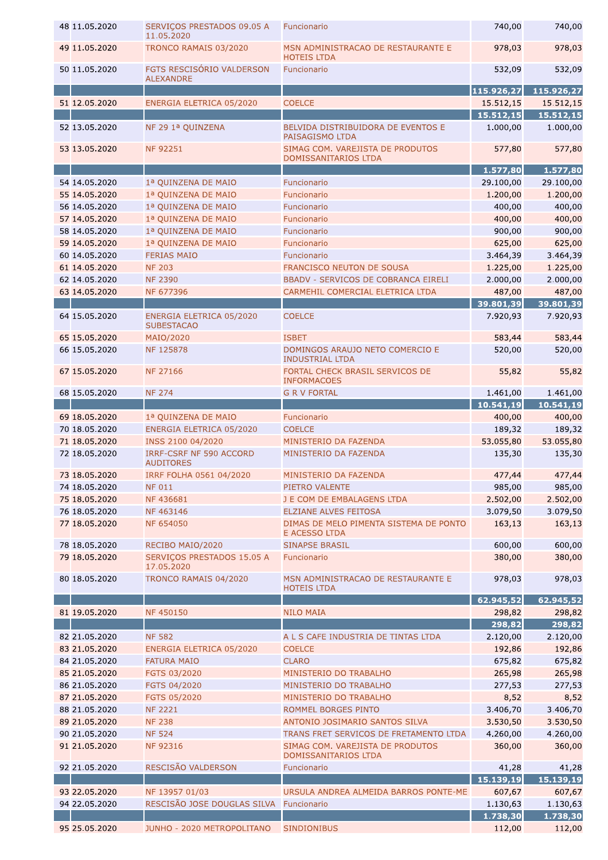| 48 11.05.2020                  | SERVIÇOS PRESTADOS 09.05 A<br>11.05.2020           | Funcionario                                                                | 740,00             | 740,00             |
|--------------------------------|----------------------------------------------------|----------------------------------------------------------------------------|--------------------|--------------------|
| 49 11.05.2020                  | TRONCO RAMAIS 03/2020                              | MSN ADMINISTRACAO DE RESTAURANTE E<br><b>HOTEIS LTDA</b>                   | 978,03             | 978,03             |
| 50 11.05.2020                  | FGTS RESCISÓRIO VALDERSON<br><b>ALEXANDRE</b>      | Funcionario                                                                | 532,09             | 532,09             |
|                                |                                                    |                                                                            | 115.926,27         | 115.926,27         |
| 51 12.05.2020                  | ENERGIA ELETRICA 05/2020                           | <b>COELCE</b>                                                              | 15.512,15          | 15.512,15          |
|                                |                                                    |                                                                            | 15.512,15          | 15.512,15          |
| 52 13.05.2020                  | NF 29 1ª QUINZENA                                  | BELVIDA DISTRIBUIDORA DE EVENTOS E<br>PAISAGISMO LTDA                      | 1.000,00           | 1.000,00           |
| 53 13.05.2020                  | <b>NF 92251</b>                                    | SIMAG COM. VAREJISTA DE PRODUTOS<br>DOMISSANITARIOS LTDA                   | 577,80             | 577,80             |
|                                |                                                    |                                                                            | 1.577,80           | 1.577,80           |
| 54 14.05.2020                  | 1ª QUINZENA DE MAIO                                | Funcionario                                                                | 29.100,00          | 29.100,00          |
| 55 14.05.2020                  | 1ª QUINZENA DE MAIO                                | Funcionario                                                                | 1.200,00           | 1.200,00           |
| 56 14.05.2020                  | 1ª QUINZENA DE MAIO                                | Funcionario                                                                | 400,00             | 400,00             |
| 57 14.05.2020                  | 1ª QUINZENA DE MAIO                                | Funcionario                                                                | 400,00             | 400,00             |
| 58 14.05.2020                  | 1ª QUINZENA DE MAIO                                | Funcionario                                                                | 900,00             | 900,00             |
| 59 14.05.2020                  | 1ª QUINZENA DE MAIO                                | Funcionario                                                                | 625,00             | 625,00             |
| 60 14.05.2020                  | <b>FERIAS MAIO</b>                                 | Funcionario                                                                | 3.464,39           | 3.464,39           |
| 61 14.05.2020                  | <b>NF 203</b>                                      | <b>FRANCISCO NEUTON DE SOUSA</b>                                           | 1.225,00           | 1.225,00           |
| 62 14.05.2020                  | <b>NF 2390</b>                                     | <b>BBADV - SERVICOS DE COBRANCA EIRELI</b>                                 | 2.000,00           | 2.000,00           |
| 63 14.05.2020                  | NF 677396                                          | CARMEHIL COMERCIAL ELETRICA LTDA                                           | 487,00             | 487,00             |
|                                |                                                    |                                                                            | 39.801,39          | 39.801,39          |
| 64 15.05.2020                  | ENERGIA ELETRICA 05/2020<br><b>SUBESTACAO</b>      | <b>COELCE</b>                                                              | 7.920,93           | 7.920,93           |
| 65 15.05.2020                  | MAIO/2020                                          | <b>ISBET</b>                                                               | 583,44             | 583,44             |
| 66 15.05.2020                  | NF 125878                                          | DOMINGOS ARAUJO NETO COMERCIO E<br><b>INDUSTRIAL LTDA</b>                  | 520,00             | 520,00             |
| 67 15.05.2020                  | <b>NF 27166</b>                                    | FORTAL CHECK BRASIL SERVICOS DE<br><b>INFORMACOES</b>                      | 55,82              | 55,82              |
| 68 15.05.2020                  | <b>NF 274</b>                                      | <b>G R V FORTAL</b>                                                        | 1.461,00           | 1.461,00           |
|                                |                                                    |                                                                            | 10.541, 19         | 10.541, 19         |
| 69 18.05.2020                  | 1ª QUINZENA DE MAIO                                | Funcionario                                                                | 400,00             | 400,00             |
| 70 18.05.2020                  | ENERGIA ELETRICA 05/2020                           | <b>COELCE</b>                                                              | 189,32             | 189,32             |
| 71 18.05.2020                  |                                                    |                                                                            |                    |                    |
|                                | INSS 2100 04/2020                                  | MINISTERIO DA FAZENDA                                                      | 53.055,80          | 53.055,80          |
| 72 18.05.2020                  | <b>IRRF-CSRF NF 590 ACCORD</b><br><b>AUDITORES</b> | MINISTERIO DA FAZENDA                                                      | 135,30             | 135,30             |
| 73 18.05.2020                  | IRRF FOLHA 0561 04/2020                            | MINISTERIO DA FAZENDA                                                      | 477,44             | 477,44             |
| 74 18.05.2020                  | <b>NF 011</b>                                      | PIETRO VALENTE                                                             | 985,00             | 985,00             |
| 75 18.05.2020                  | NF 436681                                          | J E COM DE EMBALAGENS LTDA                                                 | 2.502,00           | 2.502,00           |
| 76 18.05.2020                  | NF 463146                                          | <b>ELZIANE ALVES FEITOSA</b>                                               | 3.079,50           | 3.079,50           |
| 77 18.05.2020                  | <b>NF 654050</b>                                   | DIMAS DE MELO PIMENTA SISTEMA DE PONTO<br><b>E ACESSO LTDA</b>             | 163,13             | 163,13             |
| 78 18.05.2020                  | RECIBO MAIO/2020                                   | <b>SINAPSE BRASIL</b>                                                      | 600,00             | 600,00             |
| 79 18.05.2020                  | SERVICOS PRESTADOS 15.05 A                         | Funcionario                                                                | 380,00             | 380,00             |
|                                | 17.05.2020                                         |                                                                            |                    |                    |
| 80 18.05.2020                  | TRONCO RAMAIS 04/2020                              | MSN ADMINISTRACAO DE RESTAURANTE E<br><b>HOTEIS LTDA</b>                   | 978,03             | 978,03             |
|                                |                                                    |                                                                            | 62.945,52          | 62.945,52          |
| 81 19.05.2020                  | <b>NF450150</b>                                    | <b>NILO MAIA</b>                                                           | 298,82             | 298,82             |
|                                |                                                    |                                                                            | 298,82             | 298,82             |
| 82 21.05.2020                  | <b>NF 582</b>                                      | A L S CAFE INDUSTRIA DE TINTAS LTDA                                        | 2.120,00           | 2.120,00           |
| 83 21.05.2020                  | ENERGIA ELETRICA 05/2020                           | <b>COELCE</b>                                                              | 192,86             | 192,86             |
| 84 21.05.2020                  | <b>FATURA MAIO</b>                                 | <b>CLARO</b>                                                               | 675,82             | 675,82             |
| 85 21.05.2020                  | FGTS 03/2020                                       | MINISTERIO DO TRABALHO                                                     | 265,98             | 265,98             |
| 86 21.05.2020                  | FGTS 04/2020                                       | MINISTERIO DO TRABALHO                                                     | 277,53             | 277,53             |
| 87 21.05.2020                  | FGTS 05/2020                                       | MINISTERIO DO TRABALHO                                                     | 8,52               | 8,52               |
| 88 21.05.2020                  | <b>NF 2221</b>                                     | ROMMEL BORGES PINTO                                                        | 3.406,70           | 3.406,70           |
| 89 21.05.2020                  | <b>NF 238</b>                                      | ANTONIO JOSIMARIO SANTOS SILVA                                             | 3.530,50           | 3.530,50           |
| 90 21.05.2020<br>91 21.05.2020 | <b>NF 524</b><br><b>NF 92316</b>                   | TRANS FRET SERVICOS DE FRETAMENTO LTDA<br>SIMAG COM. VAREJISTA DE PRODUTOS | 4.260,00<br>360,00 | 4.260,00<br>360,00 |
| 92 21.05.2020                  | RESCISÃO VALDERSON                                 | DOMISSANITARIOS LTDA<br>Funcionario                                        | 41,28              | 41,28              |
|                                |                                                    |                                                                            | 15.139,19          | 15.139,19          |
| 93 22.05.2020                  | NF 13957 01/03                                     | URSULA ANDREA ALMEIDA BARROS PONTE-ME                                      | 607,67             | 607,67             |
| 94 22.05.2020                  | RESCISÃO JOSE DOUGLAS SILVA Funcionario            |                                                                            | 1.130,63           | 1.130,63           |
| 95 25.05.2020                  |                                                    |                                                                            | 1.738,30<br>112,00 | 1.738,30<br>112,00 |